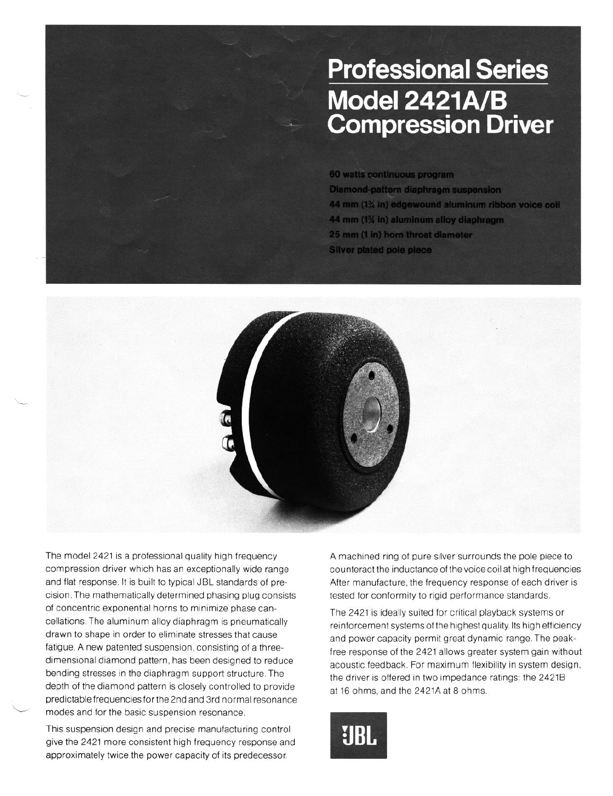## **Professional Series** Model 2421A/B **Compression Driver**

60 watts continuous program **Diamond-pattern diaphragm suspension** 44 mm (1% in) edgewound aluminum ribbon voice coil 44 mm (1% in) aluminum alloy diaphragm 25 mm (1 in) horn throat diameter **Silver plated pole piece** 



The model 2421 is a professional quality high frequency A machined ring of pure silver surrounds the pole piece to compression driver which has an exceptionally wide range counteract the inductance of the voice coil at high frequencies and flat response. It is built to typical JBL standards of pre-<br>After manufacture, the frequency response of each driver is cision. The mathematically determined phasing plug consists of concentric exponential horns to minimize phase cancellations The aluminum alloy diaphragm is pneumatically drawn to shape in order to eliminate stresses that cause fatigue. A new patented suspension, consisting of a threedimensional diamond pattern, has been designed to reduce bending stresses in the diaphragm support structure. The depth of the diamond pattern is closely controlled to provide predictable frequencies for the 2nd and 3rd normal resonance modes and for the basic suspension resonance.

This suspension design and precise manufacturing control give the 2421 more consistent high frequency response and approximately twice the power capacity of its predecessor.

tested for conformity to rigid performance standards

The 2421 is ideally suited for critical playback systems or reinforcement systems of the highest quality. Its high efficiency and power capacity permit great dynamic range. The peakfree response of the 2421 allows greater system gain without acoustic feedback. For maximum flexibility in system design, the driver **IS** offered In two impedance ratings: the 24218 at 16 ohms, and the 2421A at 8 ohms.